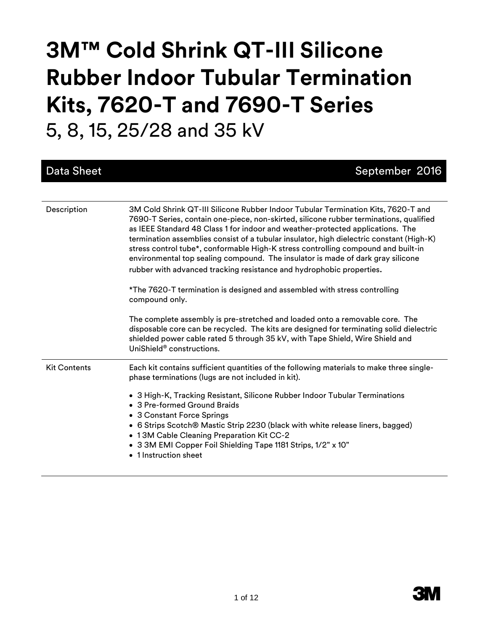# **3M™ Cold Shrink QT-III Silicone Rubber Indoor Tubular Termination Kits, 7620-T and 7690-T Series** 5, 8, 15, 25/28 and 35 kV

| <b>Data Sheet</b>   | September 2016                                                                                                                                                                                                                                                                                                                                                                                                                                                                                                                                                                                                                                                                                           |
|---------------------|----------------------------------------------------------------------------------------------------------------------------------------------------------------------------------------------------------------------------------------------------------------------------------------------------------------------------------------------------------------------------------------------------------------------------------------------------------------------------------------------------------------------------------------------------------------------------------------------------------------------------------------------------------------------------------------------------------|
|                     |                                                                                                                                                                                                                                                                                                                                                                                                                                                                                                                                                                                                                                                                                                          |
| Description         | 3M Cold Shrink QT-III Silicone Rubber Indoor Tubular Termination Kits, 7620-T and<br>7690-T Series, contain one-piece, non-skirted, silicone rubber terminations, qualified<br>as IEEE Standard 48 Class 1 for indoor and weather-protected applications. The<br>termination assemblies consist of a tubular insulator, high dielectric constant (High-K)<br>stress control tube*, conformable High-K stress controlling compound and built-in<br>environmental top sealing compound. The insulator is made of dark gray silicone<br>rubber with advanced tracking resistance and hydrophobic properties.<br>*The 7620-T termination is designed and assembled with stress controlling<br>compound only. |
|                     | The complete assembly is pre-stretched and loaded onto a removable core. The<br>disposable core can be recycled. The kits are designed for terminating solid dielectric<br>shielded power cable rated 5 through 35 kV, with Tape Shield, Wire Shield and<br>UniShield <sup>®</sup> constructions.                                                                                                                                                                                                                                                                                                                                                                                                        |
| <b>Kit Contents</b> | Each kit contains sufficient quantities of the following materials to make three single-<br>phase terminations (lugs are not included in kit).<br>• 3 High-K, Tracking Resistant, Silicone Rubber Indoor Tubular Terminations<br>• 3 Pre-formed Ground Braids<br>• 3 Constant Force Springs<br>• 6 Strips Scotch® Mastic Strip 2230 (black with white release liners, bagged)<br>• 13M Cable Cleaning Preparation Kit CC-2<br>• 3 3M EMI Copper Foil Shielding Tape 1181 Strips, 1/2" x 10"<br>• 1 Instruction sheet                                                                                                                                                                                     |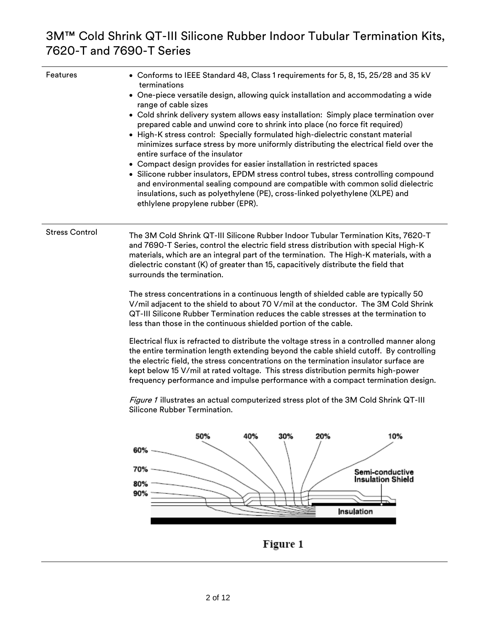| Features              | • Conforms to IEEE Standard 48, Class 1 requirements for 5, 8, 15, 25/28 and 35 kV<br>terminations<br>• One-piece versatile design, allowing quick installation and accommodating a wide<br>range of cable sizes<br>• Cold shrink delivery system allows easy installation: Simply place termination over<br>prepared cable and unwind core to shrink into place (no force fit required)<br>• High-K stress control: Specially formulated high-dielectric constant material<br>minimizes surface stress by more uniformly distributing the electrical field over the<br>entire surface of the insulator<br>• Compact design provides for easier installation in restricted spaces<br>• Silicone rubber insulators, EPDM stress control tubes, stress controlling compound<br>and environmental sealing compound are compatible with common solid dielectric |
|-----------------------|-------------------------------------------------------------------------------------------------------------------------------------------------------------------------------------------------------------------------------------------------------------------------------------------------------------------------------------------------------------------------------------------------------------------------------------------------------------------------------------------------------------------------------------------------------------------------------------------------------------------------------------------------------------------------------------------------------------------------------------------------------------------------------------------------------------------------------------------------------------|
|                       | insulations, such as polyethylene (PE), cross-linked polyethylene (XLPE) and<br>ethlylene propylene rubber (EPR).                                                                                                                                                                                                                                                                                                                                                                                                                                                                                                                                                                                                                                                                                                                                           |
|                       |                                                                                                                                                                                                                                                                                                                                                                                                                                                                                                                                                                                                                                                                                                                                                                                                                                                             |
| <b>Stress Control</b> | The 3M Cold Shrink QT-III Silicone Rubber Indoor Tubular Termination Kits, 7620-T<br>and 7690-T Series, control the electric field stress distribution with special High-K<br>materials, which are an integral part of the termination. The High-K materials, with a<br>dielectric constant (K) of greater than 15, capacitively distribute the field that<br>surrounds the termination.                                                                                                                                                                                                                                                                                                                                                                                                                                                                    |
|                       | The stress concentrations in a continuous length of shielded cable are typically 50<br>V/mil adjacent to the shield to about 70 V/mil at the conductor. The 3M Cold Shrink<br>QT-III Silicone Rubber Termination reduces the cable stresses at the termination to<br>less than those in the continuous shielded portion of the cable.                                                                                                                                                                                                                                                                                                                                                                                                                                                                                                                       |
|                       | Electrical flux is refracted to distribute the voltage stress in a controlled manner along<br>the entire termination length extending beyond the cable shield cutoff. By controlling<br>the electric field, the stress concentrations on the termination insulator surface are<br>kept below 15 V/mil at rated voltage. This stress distribution permits high-power<br>frequency performance and impulse performance with a compact termination design.                                                                                                                                                                                                                                                                                                                                                                                                     |
|                       | Figure 1 illustrates an actual computerized stress plot of the 3M Cold Shrink QT-III<br>Silicone Rubber Termination.                                                                                                                                                                                                                                                                                                                                                                                                                                                                                                                                                                                                                                                                                                                                        |
|                       | 50%<br>40%<br>30%<br>20%<br>10%                                                                                                                                                                                                                                                                                                                                                                                                                                                                                                                                                                                                                                                                                                                                                                                                                             |
|                       | 60%                                                                                                                                                                                                                                                                                                                                                                                                                                                                                                                                                                                                                                                                                                                                                                                                                                                         |
|                       | 70%                                                                                                                                                                                                                                                                                                                                                                                                                                                                                                                                                                                                                                                                                                                                                                                                                                                         |
|                       | Semi-conductive<br><b>Insulation Shield</b><br>80%                                                                                                                                                                                                                                                                                                                                                                                                                                                                                                                                                                                                                                                                                                                                                                                                          |

Figure 1

Insulation

90%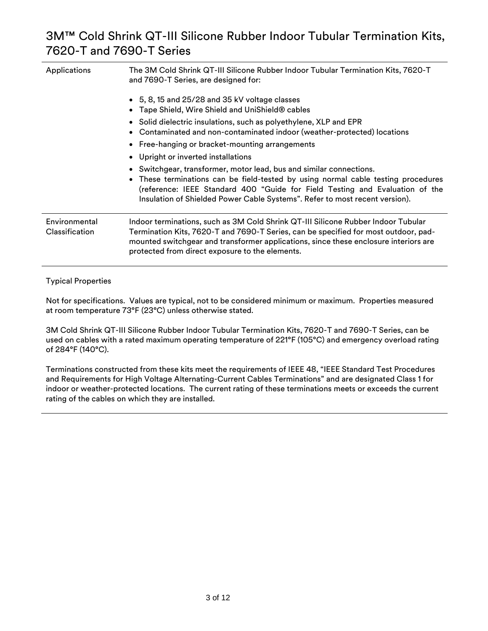| Applications                    | The 3M Cold Shrink QT-III Silicone Rubber Indoor Tubular Termination Kits, 7620-T<br>and 7690-T Series, are designed for:                                                                                                                                                                                           |  |  |  |
|---------------------------------|---------------------------------------------------------------------------------------------------------------------------------------------------------------------------------------------------------------------------------------------------------------------------------------------------------------------|--|--|--|
|                                 | • 5, 8, 15 and 25/28 and 35 kV voltage classes<br>Tape Shield, Wire Shield and UniShield® cables                                                                                                                                                                                                                    |  |  |  |
|                                 | • Solid dielectric insulations, such as polyethylene, XLP and EPR<br>Contaminated and non-contaminated indoor (weather-protected) locations                                                                                                                                                                         |  |  |  |
|                                 | • Free-hanging or bracket-mounting arrangements                                                                                                                                                                                                                                                                     |  |  |  |
|                                 | • Upright or inverted installations                                                                                                                                                                                                                                                                                 |  |  |  |
|                                 | Switchgear, transformer, motor lead, bus and similar connections.<br>These terminations can be field-tested by using normal cable testing procedures<br>(reference: IEEE Standard 400 "Guide for Field Testing and Evaluation of the<br>Insulation of Shielded Power Cable Systems". Refer to most recent version). |  |  |  |
| Environmental<br>Classification | Indoor terminations, such as 3M Cold Shrink QT-III Silicone Rubber Indoor Tubular<br>Termination Kits, 7620-T and 7690-T Series, can be specified for most outdoor, pad-<br>mounted switchgear and transformer applications, since these enclosure interiors are<br>protected from direct exposure to the elements. |  |  |  |

#### Typical Properties

Not for specifications. Values are typical, not to be considered minimum or maximum. Properties measured at room temperature 73°F (23°C) unless otherwise stated.

3M Cold Shrink QT-III Silicone Rubber Indoor Tubular Termination Kits, 7620-T and 7690-T Series, can be used on cables with a rated maximum operating temperature of 221°F (105°C) and emergency overload rating of 284°F (140°C).

Terminations constructed from these kits meet the requirements of IEEE 48, "IEEE Standard Test Procedures and Requirements for High Voltage Alternating-Current Cables Terminations" and are designated Class 1 for indoor or weather-protected locations. The current rating of these terminations meets or exceeds the current rating of the cables on which they are installed.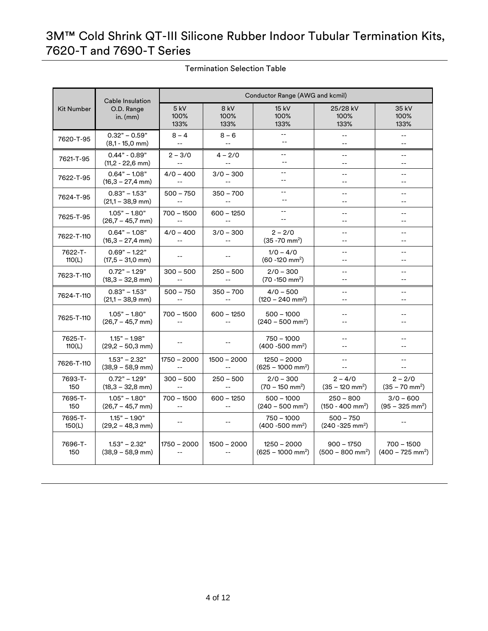| Cable Insulation  |                                               | Conductor Range (AWG and kcmil)               |                                               |                                                |                                                |                                |
|-------------------|-----------------------------------------------|-----------------------------------------------|-----------------------------------------------|------------------------------------------------|------------------------------------------------|--------------------------------|
| <b>Kit Number</b> | O.D. Range<br>in. $(mm)$                      | $5$ kV<br>100%<br>133%                        | 8 kV<br>100%<br>133%                          | 15 kV<br>100%<br>133%                          | 25/28 kV<br>100%<br>133%                       | 35 kV<br>100%<br>133%          |
| 7620-T-95         | $0.32" - 0.59"$<br>$(8,1 - 15,0 \text{ mm})$  | $8 - 4$                                       | $8 - 6$                                       | $\overline{a}$<br>$\sim$                       | --                                             | --<br>$\overline{a}$           |
| 7621-T-95         | $0.44" - 0.89"$                               | $2 - 3/0$                                     | $4 - 2/0$                                     | $-$                                            | --                                             | $-$                            |
|                   | $(11,2 - 22,6$ mm)                            | $\mathbb{L} \mathbb{L}$                       | $\mathbb{L}^{\mathbb{L}}$                     | $-$                                            | $-$                                            | $-$                            |
| 7622-T-95         | $0.64" - 1.08"$                               | $4/0 - 400$                                   | $3/0 - 300$                                   | $-$                                            | $-$                                            | --                             |
|                   | $(16,3 - 27,4 \text{ mm})$                    | $\sim$ $\sim$                                 | $\mathbf{u}$                                  | $-$                                            | $-$                                            | $-$                            |
| 7624-T-95         | $0.83" - 1.53"$                               | $500 - 750$                                   | $350 - 700$                                   | --                                             | $-$                                            | $-$                            |
|                   | $(21,1 - 38,9$ mm)                            | $\sim$ $\sim$                                 | $\mathord{\hspace{1pt}\text{--}\hspace{1pt}}$ | $-$                                            | $-$                                            | $-$                            |
| 7625-T-95         | $1.05" - 1.80"$                               | $700 - 1500$                                  | $600 - 1250$                                  | $-$                                            | $-$                                            | $-1$                           |
|                   | $(26,7 - 45,7)$ mm)                           | $\mathord{\hspace{1pt}\text{--}\hspace{1pt}}$ | $\overline{\phantom{a}}$                      | Ξ.                                             | $\overline{\phantom{a}}$                       | --                             |
| 7622-T-110        | $0.64" - 1.08"$                               | $4/0 - 400$                                   | $3/0 - 300$                                   | $2 - 2/0$                                      | $-$                                            | $-$                            |
|                   | $(16,3 - 27,4 \text{ mm})$                    | $\mathbf{u}$                                  | $\overline{\phantom{a}}$ .                    | $(35 - 70)$ mm <sup>2</sup> )                  | $-$                                            | $-$                            |
| 7622-T-<br>110(L) | $0.69" - 1.22"$<br>$(17,5 - 31,0 \text{ mm})$ |                                               |                                               | $1/0 - 4/0$<br>$(60 - 120$ mm <sup>2</sup> )   | $-$<br>$-$                                     | $-$<br>$-$                     |
| 7623-T-110        | $0.72" - 1.29"$<br>$(18,3 - 32,8 \text{ mm})$ | $300 - 500$                                   | $250 - 500$<br>$\overline{a}$                 | $2/0 - 300$<br>$(70 - 150)$ mm <sup>2</sup> )  | $\overline{\phantom{a}}$                       | --                             |
| 7624-T-110        | $0.83" - 1.53"$<br>$(21,1 - 38,9$ mm)         | $500 - 750$                                   | $350 - 700$<br>$\sim$ $\sim$                  | $4/0 - 500$<br>$(120 - 240$ mm <sup>2</sup> )  | $\overline{\phantom{a}}$<br>$-$                | --<br>$-1$                     |
| 7625-T-110        | $1.05" - 1.80"$<br>$(26.7 - 45.7$ mm)         | $700 - 1500$<br>$\sim$                        | $600 - 1250$<br>$\sim$ $\sim$                 | $500 - 1000$<br>$(240 - 500$ mm <sup>2</sup> ) | $-$<br>--                                      |                                |
| 7625-T-<br>110(L) | $1.15" - 1.98"$<br>$(29,2 - 50,3 \text{ mm})$ | $\mathord{\hspace{1pt}\text{--}\hspace{1pt}}$ | $\overline{\phantom{a}}$                      | $750 - 1000$<br>$(400 - 500$ mm <sup>2</sup> ) | $-$<br>$-$                                     | --<br>--                       |
| 7626-T-110        | $1.53" - 2.32"$                               | $1750 - 2000$                                 | $1500 - 2000$                                 | $1250 - 2000$                                  | $-$                                            | $- -$                          |
|                   | $(38,9 - 58,9$ mm)                            | $\sim$ $\sim$                                 | $\sim$ $\sim$                                 | $(625 - 1000$ mm <sup>2</sup> )                | $-$                                            | $-1$                           |
| 7693-T-           | $0.72" - 1.29"$                               | $300 - 500$                                   | $250 - 500$                                   | $2/0 - 300$                                    | $2 - 4/0$                                      | $2 - 2/0$                      |
| 150               | $(18,3 - 32,8 \text{ mm})$                    | $\sim$ $\sim$                                 | $\sim$ $\sim$                                 | $(70 - 150 \text{ mm}^2)$                      | $(35 - 120$ mm <sup>2</sup> )                  | $(35 - 70$ mm <sup>2</sup> )   |
| 7695-T-           | $1.05" - 1.80"$                               | $700 - 1500$                                  | $600 - 1250$                                  | $500 - 1000$                                   | $250 - 800$                                    | $3/0 - 600$                    |
| 150               | $(26,7 - 45,7)$ mm)                           |                                               | $\overline{\phantom{a}}$                      | $(240 - 500$ mm <sup>2</sup> )                 | $(150 - 400$ mm <sup>2</sup> )                 | $(95 - 325 \text{ mm}^2)$      |
| 7695-T-<br>150(L) | $1.15" - 1.90"$<br>$(29,2 - 48,3 \text{ mm})$ | --                                            | --                                            | $750 - 1000$<br>$(400 - 500$ mm <sup>2</sup> ) | $500 - 750$<br>$(240 - 325)$ mm <sup>2</sup> ) | $-$                            |
| 7696-T-           | $1.53" - 2.32"$                               | 1750 - 2000                                   | $1500 - 2000$                                 | $1250 - 2000$                                  | $900 - 1750$                                   | $700 - 1500$                   |
| 150               | $(38.9 - 58.9$ mm)                            | $\sim$ $\sim$                                 | $\overline{\phantom{a}}$                      | $(625 - 1000$ mm <sup>2</sup> )                | $(500 - 800$ mm <sup>2</sup> )                 | $(400 - 725$ mm <sup>2</sup> ) |

Termination Selection Table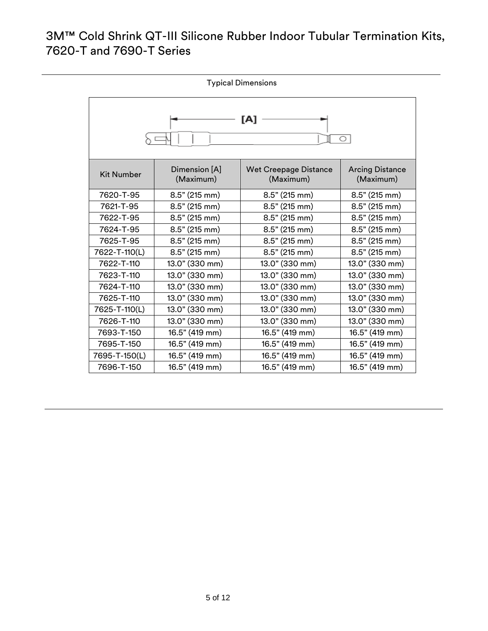| <b>Typical Dimensions</b> |                            |                                           |                                     |
|---------------------------|----------------------------|-------------------------------------------|-------------------------------------|
| [A]<br>O                  |                            |                                           |                                     |
| <b>Kit Number</b>         | Dimension [A]<br>(Maximum) | <b>Wet Creepage Distance</b><br>(Maximum) | <b>Arcing Distance</b><br>(Maximum) |
| 7620-T-95                 | $8.5"$ (215 mm)            | $8.5"$ (215 mm)                           | $8.5"$ (215 mm)                     |
| 7621-T-95                 | $8.5"$ (215 mm)            | 8.5" (215 mm)                             | 8.5" (215 mm)                       |
| 7622-T-95                 | $8.5"$ (215 mm)            | $8.5"$ (215 mm)                           | $8.5"$ (215 mm)                     |
| 7624-T-95                 | 8.5" (215 mm)              | 8.5" (215 mm)                             | 8.5" (215 mm)                       |
| 7625-T-95                 | 8.5" (215 mm)              | 8.5" (215 mm)                             | 8.5" (215 mm)                       |
| 7622-T-110(L)             | 8.5" (215 mm)              | 8.5" (215 mm)                             | 8.5" (215 mm)                       |
| 7622-T-110                | 13.0" (330 mm)             | 13.0" (330 mm)                            | 13.0" (330 mm)                      |
| 7623-T-110                | 13.0" (330 mm)             | 13.0" (330 mm)                            | 13.0" (330 mm)                      |
| 7624-T-110                | 13.0" (330 mm)             | 13.0" (330 mm)                            | 13.0" (330 mm)                      |
| 7625-T-110                | 13.0" (330 mm)             | 13.0" (330 mm)                            | 13.0" (330 mm)                      |
| 7625-T-110(L)             | 13.0" (330 mm)             | 13.0" (330 mm)                            | 13.0" (330 mm)                      |
| 7626-T-110                | 13.0" (330 mm)             | 13.0" (330 mm)                            | 13.0" (330 mm)                      |
| 7693-T-150                | 16.5" (419 mm)             | 16.5" (419 mm)                            | 16.5" (419 mm)                      |
| 7695-T-150                | 16.5" (419 mm)             | 16.5" (419 mm)                            | 16.5" (419 mm)                      |
| 7695-T-150(L)             | 16.5" (419 mm)             | 16.5" (419 mm)                            | 16.5" (419 mm)                      |
| 7696-T-150                | 16.5" (419 mm)             | 16.5" (419 mm)                            | 16.5" (419 mm)                      |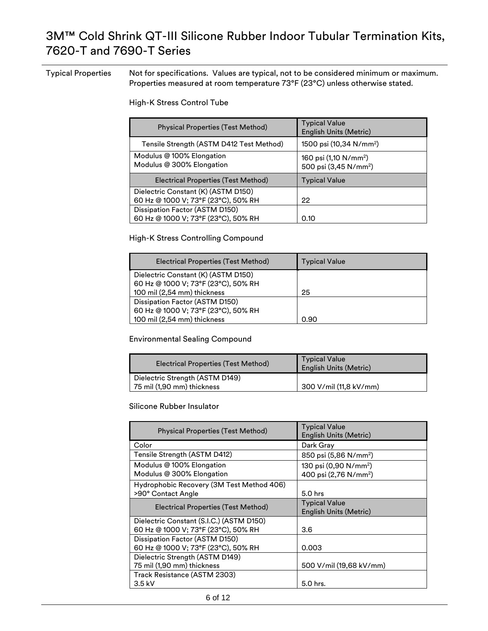Typical Properties Not for specifications. Values are typical, not to be considered minimum or maximum. Properties measured at room temperature 73°F (23°C) unless otherwise stated.

High-K Stress Control Tube

| Physical Properties (Test Method)                                          | <b>Typical Value</b><br>English Units (Metric)                         |
|----------------------------------------------------------------------------|------------------------------------------------------------------------|
| Tensile Strength (ASTM D412 Test Method)                                   | 1500 psi (10,34 N/mm <sup>2</sup> )                                    |
| Modulus @ 100% Elongation<br>Modulus @ 300% Elongation                     | 160 psi (1,10 N/mm <sup>2</sup> )<br>500 psi (3,45 N/mm <sup>2</sup> ) |
| Electrical Properties (Test Method)                                        | <b>Typical Value</b>                                                   |
| Dielectric Constant (K) (ASTM D150)<br>60 Hz @ 1000 V; 73°F (23°C), 50% RH | 22                                                                     |
| Dissipation Factor (ASTM D150)<br>60 Hz @ 1000 V; 73°F (23°C), 50% RH      | 0.10                                                                   |

High-K Stress Controlling Compound

| Electrical Properties (Test Method) | <b>Typical Value</b> |
|-------------------------------------|----------------------|
| Dielectric Constant (K) (ASTM D150) |                      |
| 60 Hz @ 1000 V; 73°F (23°C), 50% RH |                      |
| 100 mil (2,54 mm) thickness         | 25                   |
| Dissipation Factor (ASTM D150)      |                      |
| 60 Hz @ 1000 V; 73°F (23°C), 50% RH |                      |
| 100 mil (2,54 mm) thickness         | 0.90                 |

#### Environmental Sealing Compound

| Electrical Properties (Test Method)                           | <b>Typical Value</b><br><b>English Units (Metric)</b> |  |
|---------------------------------------------------------------|-------------------------------------------------------|--|
| Dielectric Strength (ASTM D149)<br>75 mil (1,90 mm) thickness | 300 V/mil (11,8 kV/mm)                                |  |

#### Silicone Rubber Insulator

| <b>Physical Properties (Test Method)</b>                                        | <b>Typical Value</b><br>English Units (Metric)                         |
|---------------------------------------------------------------------------------|------------------------------------------------------------------------|
| Color                                                                           | Dark Gray                                                              |
| Tensile Strength (ASTM D412)                                                    | 850 psi (5,86 N/mm <sup>2</sup> )                                      |
| Modulus @ 100% Elongation<br>Modulus @ 300% Elongation                          | 130 psi (0,90 N/mm <sup>2</sup> )<br>400 psi (2,76 N/mm <sup>2</sup> ) |
| Hydrophobic Recovery (3M Test Method 406)<br>>90° Contact Angle                 | 5.0 hrs                                                                |
| Electrical Properties (Test Method)                                             | <b>Typical Value</b><br><b>English Units (Metric)</b>                  |
| Dielectric Constant (S.I.C.) (ASTM D150)<br>60 Hz @ 1000 V; 73°F (23°C), 50% RH | 3.6                                                                    |
| Dissipation Factor (ASTM D150)<br>60 Hz @ 1000 V; 73°F (23°C), 50% RH           | 0.003                                                                  |
| Dielectric Strength (ASTM D149)<br>75 mil (1,90 mm) thickness                   | 500 V/mil (19,68 kV/mm)                                                |
| Track Resistance (ASTM 2303)<br>$3.5$ kV                                        | 5.0 hrs.                                                               |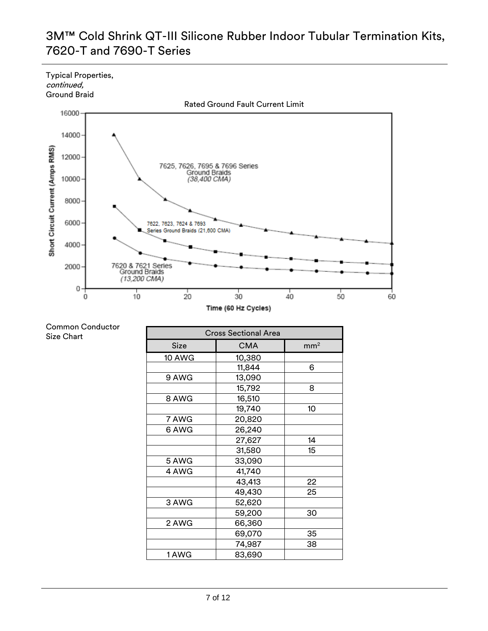Typical Properties, continued,



| Common Conductor |
|------------------|
| Size Chart       |

| <b>Cross Sectional Area</b> |            |                 |  |  |
|-----------------------------|------------|-----------------|--|--|
| Size                        | <b>CMA</b> | mm <sup>2</sup> |  |  |
| 10 AWG                      | 10,380     |                 |  |  |
|                             | 11,844     | 6               |  |  |
| 9 AWG                       | 13,090     |                 |  |  |
|                             | 15,792     | 8               |  |  |
| 8 AWG                       | 16,510     |                 |  |  |
|                             | 19,740     | 10              |  |  |
| 7 AWG                       | 20,820     |                 |  |  |
| 6 AWG                       | 26,240     |                 |  |  |
|                             | 27,627     | 14              |  |  |
|                             | 31,580     | 15              |  |  |
| 5 AWG                       | 33,090     |                 |  |  |
| 4 AWG                       | 41,740     |                 |  |  |
|                             | 43,413     | 22              |  |  |
|                             | 49,430     | 25              |  |  |
| 3 AWG                       | 52,620     |                 |  |  |
|                             | 59,200     | 30              |  |  |
| 2 AWG                       | 66,360     |                 |  |  |
|                             | 69,070     | 35              |  |  |
|                             | 74,987     | 38              |  |  |
| 1 AWG                       | 83,690     |                 |  |  |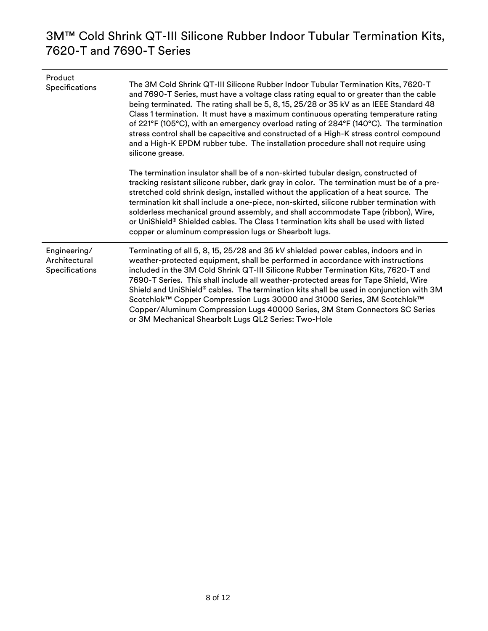| Product<br>Specifications                       | The 3M Cold Shrink QT-III Silicone Rubber Indoor Tubular Termination Kits, 7620-T<br>and 7690-T Series, must have a voltage class rating equal to or greater than the cable<br>being terminated. The rating shall be 5, 8, 15, 25/28 or 35 kV as an IEEE Standard 48<br>Class 1 termination. It must have a maximum continuous operating temperature rating<br>of 221°F (105°C), with an emergency overload rating of 284°F (140°C). The termination<br>stress control shall be capacitive and constructed of a High-K stress control compound<br>and a High-K EPDM rubber tube. The installation procedure shall not require using<br>silicone grease.          |
|-------------------------------------------------|------------------------------------------------------------------------------------------------------------------------------------------------------------------------------------------------------------------------------------------------------------------------------------------------------------------------------------------------------------------------------------------------------------------------------------------------------------------------------------------------------------------------------------------------------------------------------------------------------------------------------------------------------------------|
|                                                 | The termination insulator shall be of a non-skirted tubular design, constructed of<br>tracking resistant silicone rubber, dark gray in color. The termination must be of a pre-<br>stretched cold shrink design, installed without the application of a heat source. The<br>termination kit shall include a one-piece, non-skirted, silicone rubber termination with<br>solderless mechanical ground assembly, and shall accommodate Tape (ribbon), Wire,<br>or UniShield® Shielded cables. The Class 1 termination kits shall be used with listed<br>copper or aluminum compression lugs or Shearbolt lugs.                                                     |
| Engineering/<br>Architectural<br>Specifications | Terminating of all 5, 8, 15, 25/28 and 35 kV shielded power cables, indoors and in<br>weather-protected equipment, shall be performed in accordance with instructions<br>included in the 3M Cold Shrink QT-III Silicone Rubber Termination Kits, 7620-T and<br>7690-T Series. This shall include all weather-protected areas for Tape Shield, Wire<br>Shield and UniShield® cables. The termination kits shall be used in conjunction with 3M<br>Scotchlok™ Copper Compression Lugs 30000 and 31000 Series, 3M Scotchlok™<br>Copper/Aluminum Compression Lugs 40000 Series, 3M Stem Connectors SC Series<br>or 3M Mechanical Shearbolt Lugs QL2 Series: Two-Hole |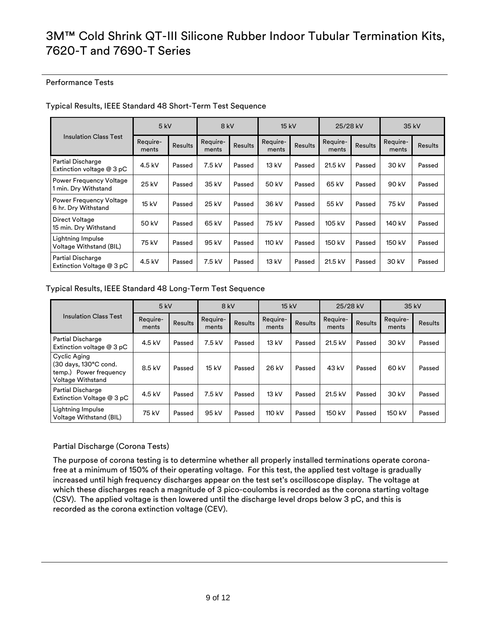#### Performance Tests

| <b>Insulation Class Test</b>                           | $5$ kV            |                | 8 kV              |                | 15 kV             |                | 25/28 kV          |                | 35 kV             |                |
|--------------------------------------------------------|-------------------|----------------|-------------------|----------------|-------------------|----------------|-------------------|----------------|-------------------|----------------|
|                                                        | Require-<br>ments | <b>Results</b> | Require-<br>ments | <b>Results</b> | Require-<br>ments | <b>Results</b> | Require-<br>ments | <b>Results</b> | Require-<br>ments | <b>Results</b> |
| <b>Partial Discharge</b><br>Extinction voltage $@3pC$  | 4.5 kV            | Passed         | 7.5 kV            | Passed         | 13 kV             | Passed         | 21.5 kV           | Passed         | 30 kV             | Passed         |
| <b>Power Frequency Voltage</b><br>1 min. Dry Withstand | 25 kV             | Passed         | 35 kV             | Passed         | 50 kV             | Passed         | 65 kV             | Passed         | 90 kV             | Passed         |
| <b>Power Frequency Voltage</b><br>6 hr. Dry Withstand  | 15 kV             | Passed         | 25 kV             | Passed         | 36 kV             | Passed         | 55 kV             | Passed         | 75 kV             | Passed         |
| Direct Voltage<br>15 min. Dry Withstand                | 50 kV             | Passed         | 65 kV             | Passed         | 75 kV             | Passed         | 105 kV            | Passed         | 140 kV            | Passed         |
| Lightning Impulse<br>Voltage Withstand (BIL)           | 75 kV             | Passed         | 95 kV             | Passed         | 110 kV            | Passed         | 150 kV            | Passed         | 150 kV            | Passed         |
| <b>Partial Discharge</b><br>Extinction Voltage @ 3 pC  | 4.5 kV            | Passed         | 7.5 kV            | Passed         | 13 kV             | Passed         | 21.5 kV           | Passed         | 30 kV             | Passed         |

#### Typical Results, IEEE Standard 48 Short-Term Test Sequence

#### Typical Results, IEEE Standard 48 Long-Term Test Sequence

| <b>Insulation Class Test</b>                                                                | 5 kV              |                | 8 kV              |                | 15 kV             |                | 25/28 kV          |                | 35 kV             |                |
|---------------------------------------------------------------------------------------------|-------------------|----------------|-------------------|----------------|-------------------|----------------|-------------------|----------------|-------------------|----------------|
|                                                                                             | Require-<br>ments | <b>Results</b> | Require-<br>ments | <b>Results</b> | Require-<br>ments | <b>Results</b> | Require-<br>ments | <b>Results</b> | Require-<br>ments | <b>Results</b> |
| <b>Partial Discharge</b><br>Extinction voltage $@3pC$                                       | 4.5 kV            | Passed         | 7.5 kV            | Passed         | 13 kV             | Passed         | 21.5 kV           | Passed         | 30 kV             | Passed         |
| Cyclic Aging<br>(30 days, 130°C cond.<br>temp.) Power frequency<br><b>Voltage Withstand</b> | 8.5 kV            | Passed         | 15 kV             | Passed         | 26 kV             | Passed         | 43 kV             | Passed         | 60 kV             | Passed         |
| <b>Partial Discharge</b><br>Extinction Voltage @ 3 pC                                       | $4.5$ kV          | Passed         | 7.5 kV            | Passed         | 13 kV             | Passed         | 21.5 kV           | Passed         | 30 kV             | Passed         |
| Lightning Impulse<br>Voltage Withstand (BIL)                                                | 75 kV             | Passed         | 95 kV             | Passed         | 110 kV            | Passed         | 150 kV            | Passed         | 150 kV            | Passed         |

#### Partial Discharge (Corona Tests)

The purpose of corona testing is to determine whether all properly installed terminations operate coronafree at a minimum of 150% of their operating voltage. For this test, the applied test voltage is gradually increased until high frequency discharges appear on the test set's oscilloscope display. The voltage at which these discharges reach a magnitude of 3 pico-coulombs is recorded as the corona starting voltage (CSV). The applied voltage is then lowered until the discharge level drops below 3 pC, and this is recorded as the corona extinction voltage (CEV).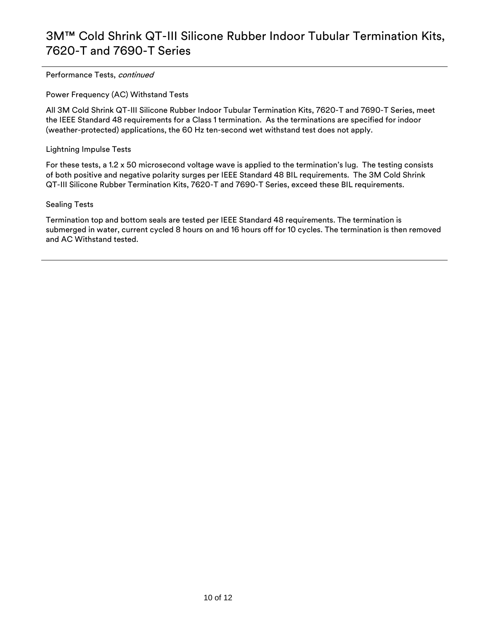Performance Tests, continued

Power Frequency (AC) Withstand Tests

All 3M Cold Shrink QT-III Silicone Rubber Indoor Tubular Termination Kits, 7620-T and 7690-T Series, meet the IEEE Standard 48 requirements for a Class 1 termination. As the terminations are specified for indoor (weather-protected) applications, the 60 Hz ten-second wet withstand test does not apply.

Lightning Impulse Tests

For these tests, a 1.2 x 50 microsecond voltage wave is applied to the termination's lug. The testing consists of both positive and negative polarity surges per IEEE Standard 48 BIL requirements. The 3M Cold Shrink QT-III Silicone Rubber Termination Kits, 7620-T and 7690-T Series, exceed these BIL requirements.

#### Sealing Tests

Termination top and bottom seals are tested per IEEE Standard 48 requirements. The termination is submerged in water, current cycled 8 hours on and 16 hours off for 10 cycles. The termination is then removed and AC Withstand tested.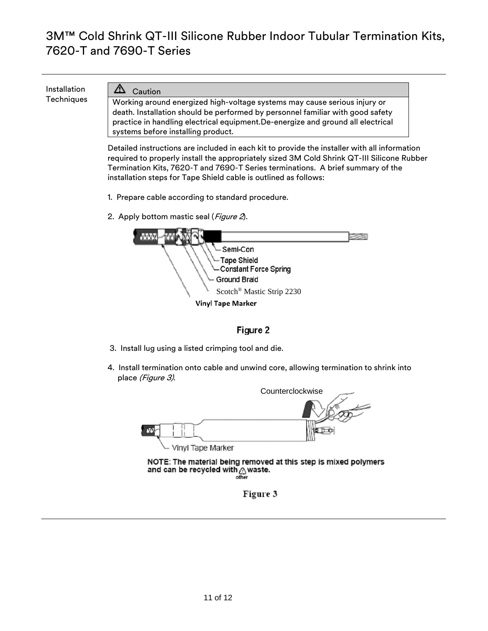Installation Installation  $\overline{C}$  Caution<br>Techniques Morking arou

Working around energized high-voltage systems may cause serious injury or death. Installation should be performed by personnel familiar with good safety practice in handling electrical equipment.De-energize and ground all electrical systems before installing product.

Detailed instructions are included in each kit to provide the installer with all information required to properly install the appropriately sized 3M Cold Shrink QT-III Silicone Rubber Termination Kits, 7620-T and 7690-T Series terminations. A brief summary of the installation steps for Tape Shield cable is outlined as follows:

- 1. Prepare cable according to standard procedure.
- 2. Apply bottom mastic seal (*Figure 2*).

| Semi-Con                              |  |
|---------------------------------------|--|
| └ Tape Shield                         |  |
| Constant Force Spring                 |  |
| <b>Ground Braid</b>                   |  |
| Scotch <sup>®</sup> Mastic Strip 2230 |  |
| <b>Vinyl Tape Marker</b>              |  |

### Figure 2

- 3. Install lug using a listed crimping tool and die.
- 4. Install termination onto cable and unwind core, allowing termination to shrink into place (Figure 3).